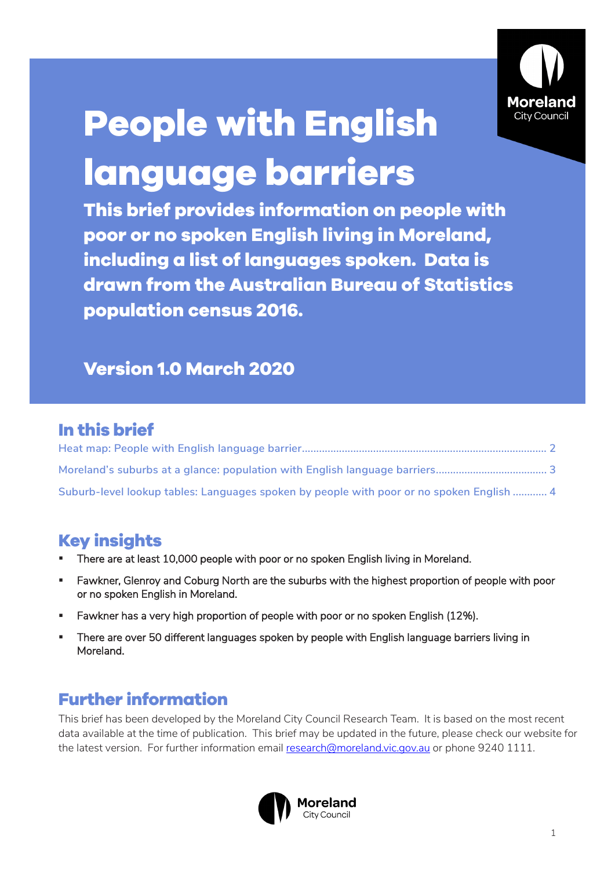

# **People with English language barriers**

**This brief provides information on people with poor or no spoken English living in Moreland, including a list of languages spoken. Data is drawn from the Australian Bureau of Statistics population census 2016.** 

#### **Version 1.0 March 2020**

## **In this brief**

| Suburb-level lookup tables: Languages spoken by people with poor or no spoken English  4 |  |
|------------------------------------------------------------------------------------------|--|

#### **Key insights**

- There are at least 10,000 people with poor or no spoken English living in Moreland.
- Fawkner, Glenroy and Coburg North are the suburbs with the highest proportion of people with poor or no spoken English in Moreland.
- Fawkner has a very high proportion of people with poor or no spoken English (12%).
- There are over 50 different languages spoken by people with English language barriers living in Moreland.

## **Further information**

This brief has been developed by the Moreland City Council Research Team. It is based on the most recent data available at the time of publication. This brief may be updated in the future, please check our website for the latest version. For further information email [research@moreland.vic.gov.au](mailto:research@moreland.vic.gov.au) or phone 9240 1111.

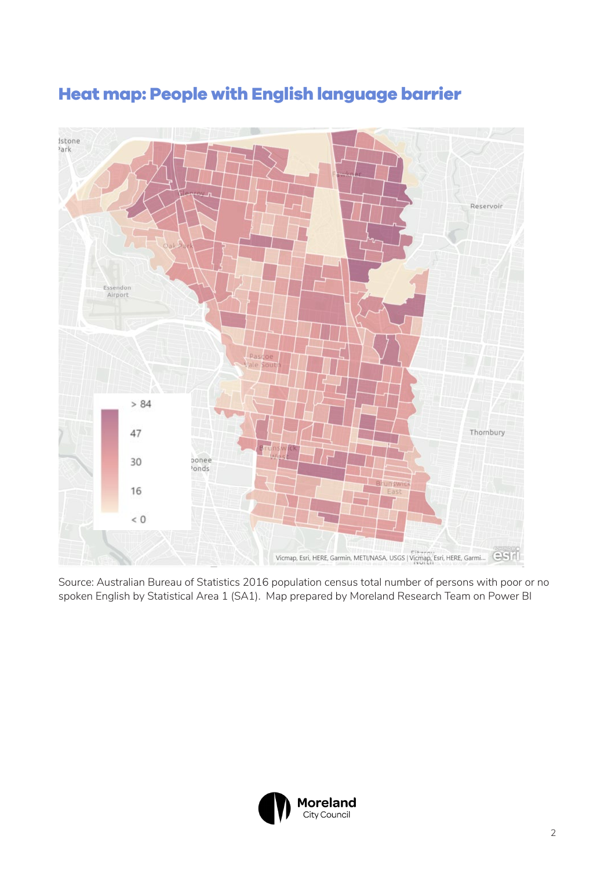

## <span id="page-1-0"></span>**Heat map: People with English language barrier**

Source: Australian Bureau of Statistics 2016 population census total number of persons with poor or no spoken English by Statistical Area 1 (SA1). Map prepared by Moreland Research Team on Power BI

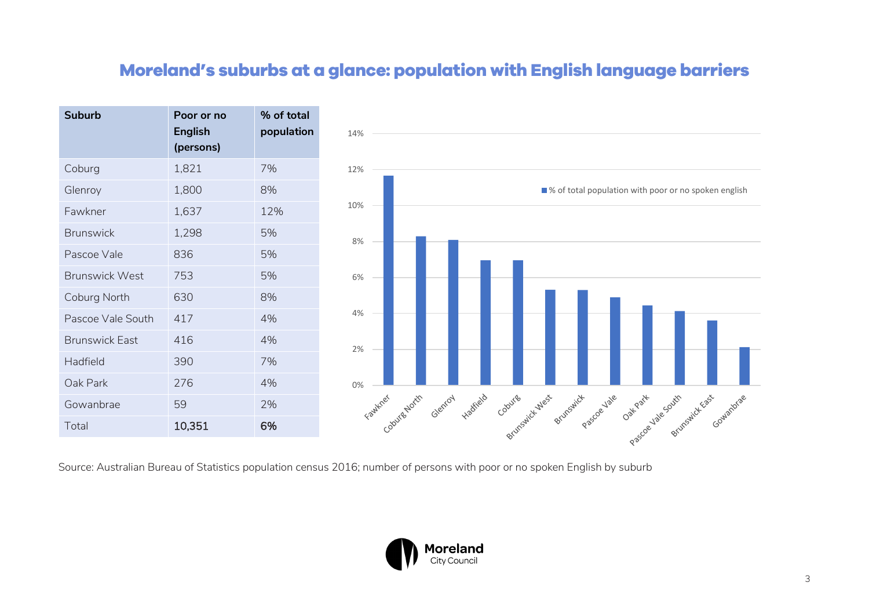#### **Moreland's suburbs at a glance: population with English language barriers**

| <b>Suburb</b>         | Poor or no<br><b>English</b><br>(persons) | % of total<br>population |
|-----------------------|-------------------------------------------|--------------------------|
| Coburg                | 1,821                                     | 7%                       |
| Glenroy               | 1,800                                     | 8%                       |
| Fawkner               | 1,637                                     | 12%                      |
| <b>Brunswick</b>      | 1,298                                     | 5%                       |
| Pascoe Vale           | 836                                       | 5%                       |
| <b>Brunswick West</b> | 753                                       | 5%                       |
| Coburg North          | 630                                       | 8%                       |
| Pascoe Vale South     | 417                                       | 4%                       |
| <b>Brunswick East</b> | 416                                       | 4%                       |
| Hadfield              | 390                                       | 7%                       |
| Oak Park              | 276                                       | 4%                       |
| Gowanbrae             | 59                                        | 2%                       |
| Total                 | 10,351                                    | 6%                       |



<span id="page-2-0"></span>Source: Australian Bureau of Statistics population census 2016; number of persons with poor or no spoken English by suburb

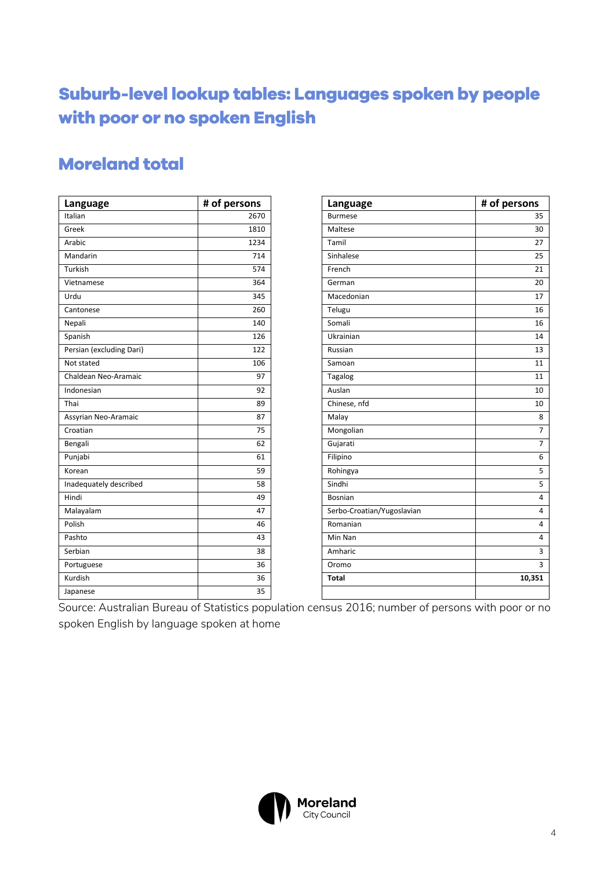# <span id="page-3-0"></span>**Suburb-level lookup tables: Languages spoken by people with poor or no spoken English**

#### **Moreland total**

| Language                 | # of persons | Language                   | # of persons   |
|--------------------------|--------------|----------------------------|----------------|
| Italian                  | 2670         | <b>Burmese</b>             | 35             |
| Greek                    | 1810         | Maltese                    | 30             |
| Arabic                   | 1234         | Tamil                      | 27             |
| Mandarin                 | 714          | Sinhalese                  | 25             |
| Turkish                  | 574          | French                     | 21             |
| Vietnamese               | 364          | German                     | 20             |
| Urdu                     | 345          | Macedonian                 | 17             |
| Cantonese                | 260          | Telugu                     | 16             |
| Nepali                   | 140          | Somali                     | 16             |
| Spanish                  | 126          | Ukrainian                  | 14             |
| Persian (excluding Dari) | 122          | Russian                    | 13             |
| Not stated               | 106          | Samoan                     | 11             |
| Chaldean Neo-Aramaic     | 97           | Tagalog                    | 11             |
| Indonesian               | 92           | Auslan                     | 10             |
| Thai                     | 89           | Chinese, nfd               | 10             |
| Assyrian Neo-Aramaic     | 87           | Malay                      | 8              |
| Croatian                 | 75           | Mongolian                  | $\overline{7}$ |
| Bengali                  | 62           | Gujarati                   | $\overline{7}$ |
| Punjabi                  | 61           | Filipino                   | 6              |
| Korean                   | 59           | Rohingya                   | 5              |
| Inadequately described   | 58           | Sindhi                     | 5              |
| Hindi                    | 49           | Bosnian                    | 4              |
| Malayalam                | 47           | Serbo-Croatian/Yugoslavian | 4              |
| Polish                   | 46           | Romanian                   | 4              |
| Pashto                   | 43           | Min Nan                    | 4              |
| Serbian                  | 38           | Amharic                    | 3              |
| Portuguese               | 36           | Oromo                      | 3              |
| Kurdish                  | 36           | <b>Total</b>               | 10,351         |
| Japanese                 | 35           |                            |                |

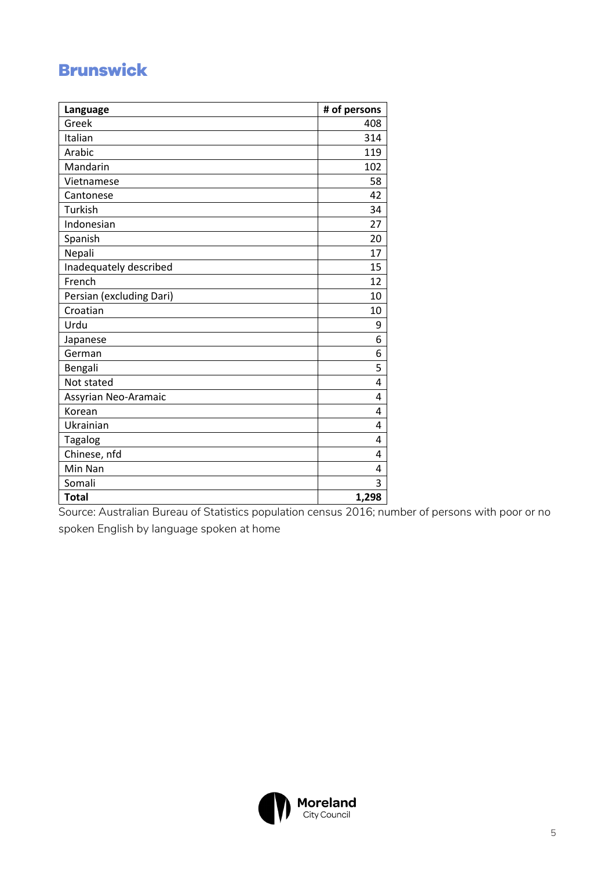## **Brunswick**

| Language                 | # of persons |
|--------------------------|--------------|
| Greek                    | 408          |
| Italian                  | 314          |
| Arabic                   | 119          |
| Mandarin                 | 102          |
| Vietnamese               | 58           |
| Cantonese                | 42           |
| Turkish                  | 34           |
| Indonesian               | 27           |
| Spanish                  | 20           |
| Nepali                   | 17           |
| Inadequately described   | 15           |
| French                   | 12           |
| Persian (excluding Dari) | 10           |
| Croatian                 | 10           |
| Urdu                     | 9            |
| Japanese                 | 6            |
| German                   | 6            |
| Bengali                  | 5            |
| Not stated               | 4            |
| Assyrian Neo-Aramaic     | 4            |
| Korean                   | 4            |
| Ukrainian                | 4            |
| Tagalog                  | 4            |
| Chinese, nfd             | 4            |
| Min Nan                  | 4            |
| Somali                   | 3            |
| <b>Total</b>             | 1,298        |

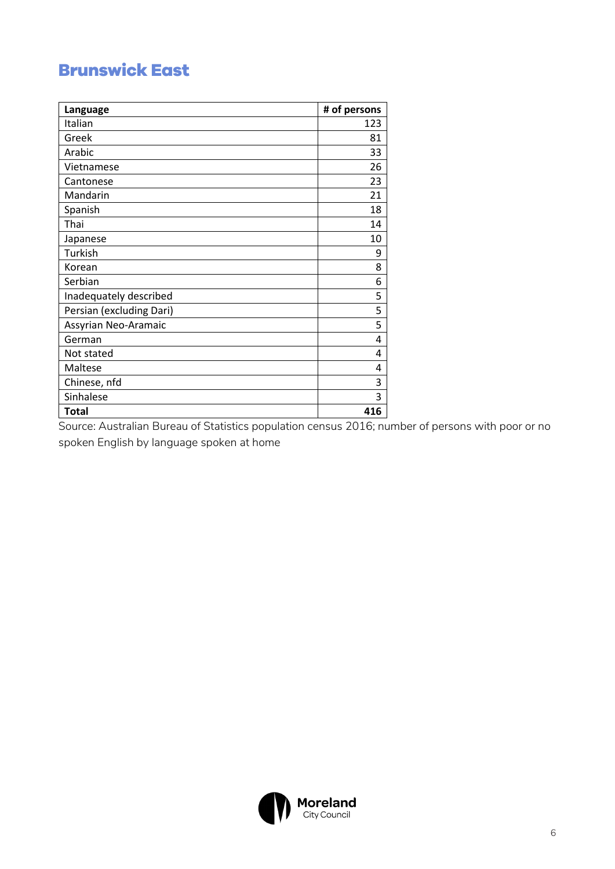## **Brunswick East**

| Language                 | # of persons |
|--------------------------|--------------|
| Italian                  | 123          |
| Greek                    | 81           |
| Arabic                   | 33           |
| Vietnamese               | 26           |
| Cantonese                | 23           |
| Mandarin                 | 21           |
| Spanish                  | 18           |
| Thai                     | 14           |
| Japanese                 | 10           |
| Turkish                  | 9            |
| Korean                   | 8            |
| Serbian                  | 6            |
| Inadequately described   | 5            |
| Persian (excluding Dari) | 5            |
| Assyrian Neo-Aramaic     | 5            |
| German                   | 4            |
| Not stated               | 4            |
| Maltese                  | 4            |
| Chinese, nfd             | 3            |
| Sinhalese                | 3            |
| <b>Total</b>             | 416          |

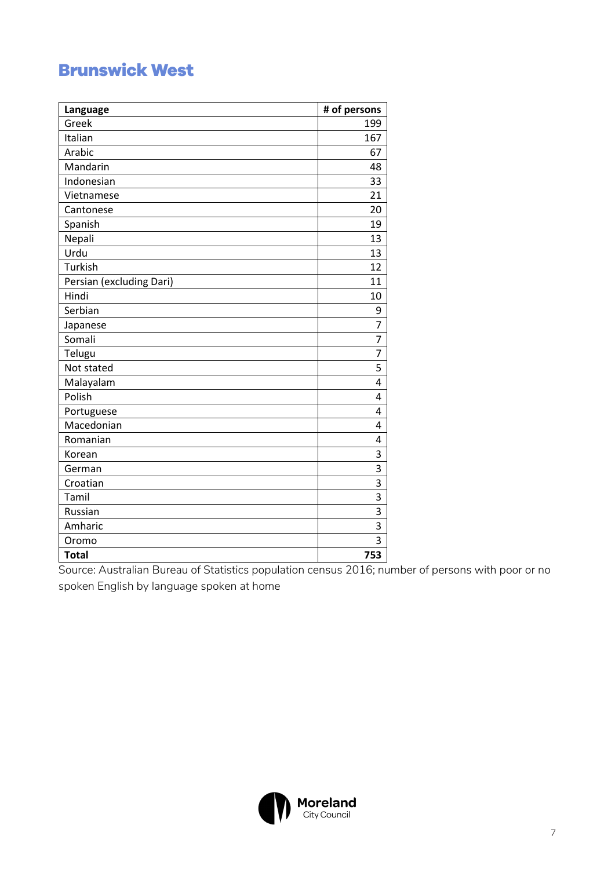## **Brunswick West**

| Language                 | # of persons |
|--------------------------|--------------|
| Greek                    | 199          |
| Italian                  | 167          |
| Arabic                   | 67           |
| Mandarin                 | 48           |
| Indonesian               | 33           |
| Vietnamese               | 21           |
| Cantonese                | 20           |
| Spanish                  | 19           |
| Nepali                   | 13           |
| Urdu                     | 13           |
| Turkish                  | 12           |
| Persian (excluding Dari) | 11           |
| Hindi                    | 10           |
| Serbian                  | 9            |
| Japanese                 | 7            |
| Somali                   | 7            |
| Telugu                   | 7            |
| Not stated               | 5            |
| Malayalam                | 4            |
| Polish                   | 4            |
| Portuguese               | 4            |
| Macedonian               | 4            |
| Romanian                 | 4            |
| Korean                   | 3            |
| German                   | 3            |
| Croatian                 | 3            |
| Tamil                    | 3            |
| Russian                  | 3            |
| Amharic                  | 3            |
| Oromo                    | 3            |
| <b>Total</b>             | 753          |

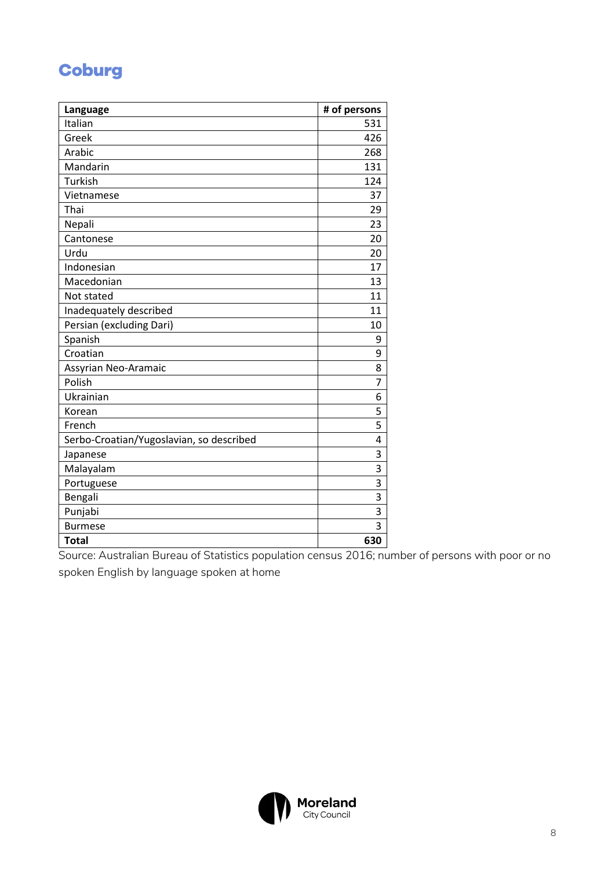#### **Coburg**

| Language                                 | # of persons |
|------------------------------------------|--------------|
| Italian                                  | 531          |
| Greek                                    | 426          |
| Arabic                                   | 268          |
| Mandarin                                 | 131          |
| Turkish                                  | 124          |
| Vietnamese                               | 37           |
| Thai                                     | 29           |
| Nepali                                   | 23           |
| Cantonese                                | 20           |
| Urdu                                     | 20           |
| Indonesian                               | 17           |
| Macedonian                               | 13           |
| Not stated                               | 11           |
| Inadequately described                   | 11           |
| Persian (excluding Dari)                 | 10           |
| Spanish                                  | 9            |
| Croatian                                 | 9            |
| Assyrian Neo-Aramaic                     | 8            |
| Polish                                   | 7            |
| Ukrainian                                | 6            |
| Korean                                   | 5            |
| French                                   | 5            |
| Serbo-Croatian/Yugoslavian, so described | 4            |
| Japanese                                 | 3            |
| Malayalam                                | 3            |
| Portuguese                               | 3            |
| Bengali                                  | 3            |
| Punjabi                                  | 3            |
| <b>Burmese</b>                           | 3            |
| <b>Total</b>                             | 630          |

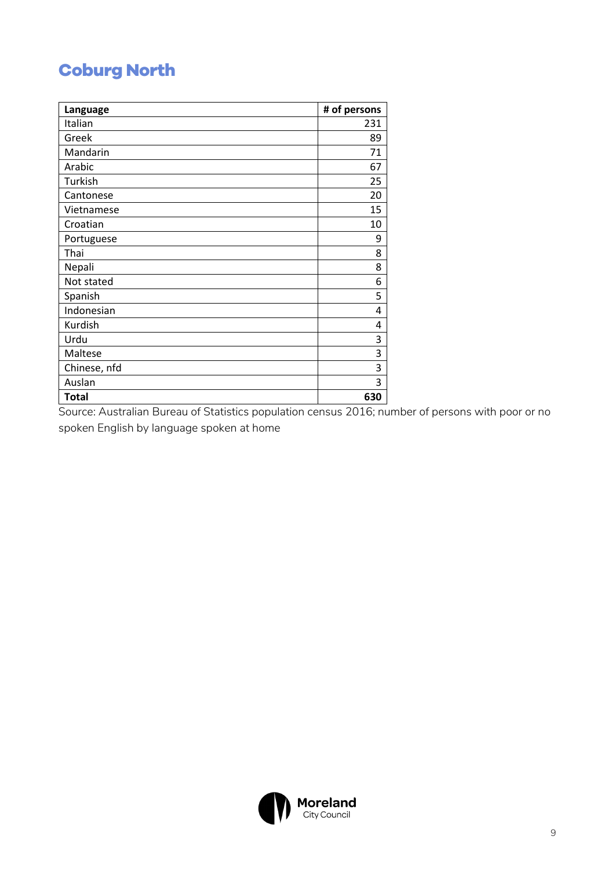## **Coburg North**

| Language     | # of persons |
|--------------|--------------|
| Italian      | 231          |
| Greek        | 89           |
| Mandarin     | 71           |
| Arabic       | 67           |
| Turkish      | 25           |
| Cantonese    | 20           |
| Vietnamese   | 15           |
| Croatian     | 10           |
| Portuguese   | 9            |
| Thai         | 8            |
| Nepali       | 8            |
| Not stated   | 6            |
| Spanish      | 5            |
| Indonesian   | 4            |
| Kurdish      | 4            |
| Urdu         | 3            |
| Maltese      | 3            |
| Chinese, nfd | 3            |
| Auslan       | 3            |
| <b>Total</b> | 630          |

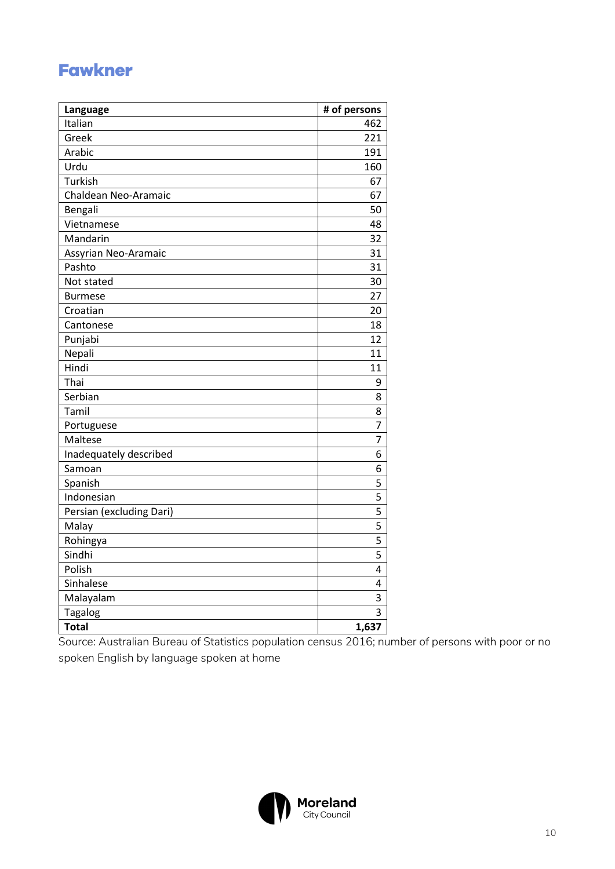## **Fawkner**

| Language                 | # of persons |
|--------------------------|--------------|
| Italian                  | 462          |
| Greek                    | 221          |
| Arabic                   | 191          |
| Urdu                     | 160          |
| Turkish                  | 67           |
| Chaldean Neo-Aramaic     | 67           |
| Bengali                  | 50           |
| Vietnamese               | 48           |
| Mandarin                 | 32           |
| Assyrian Neo-Aramaic     | 31           |
| Pashto                   | 31           |
| Not stated               | 30           |
| <b>Burmese</b>           | 27           |
| Croatian                 | 20           |
| Cantonese                | 18           |
| Punjabi                  | 12           |
| Nepali                   | 11           |
| Hindi                    | 11           |
| Thai                     | 9            |
| Serbian                  | 8            |
| Tamil                    | 8            |
| Portuguese               | 7            |
| Maltese                  | 7            |
| Inadequately described   | 6            |
| Samoan                   | 6            |
| Spanish                  | 5            |
| Indonesian               | 5            |
| Persian (excluding Dari) | 5            |
| Malay                    | 5            |
| Rohingya                 | 5            |
| Sindhi                   | 5            |
| Polish                   | 4            |
| Sinhalese                | 4            |
| Malayalam                | 3            |
| <b>Tagalog</b>           | 3            |
| <b>Total</b>             | 1,637        |

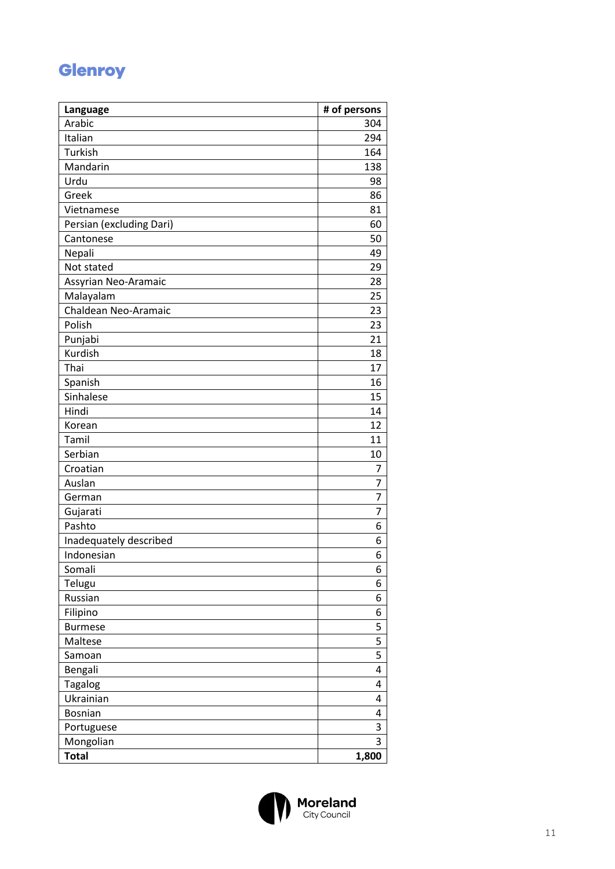#### **Glenroy**

| Language                 | # of persons   |
|--------------------------|----------------|
| Arabic                   | 304            |
| Italian                  | 294            |
| Turkish                  | 164            |
| Mandarin                 | 138            |
| Urdu                     | 98             |
| Greek                    | 86             |
| Vietnamese               | 81             |
| Persian (excluding Dari) | 60             |
| Cantonese                | 50             |
| Nepali                   | 49             |
| Not stated               | 29             |
| Assyrian Neo-Aramaic     | 28             |
| Malayalam                | 25             |
| Chaldean Neo-Aramaic     | 23             |
| Polish                   | 23             |
| Punjabi                  | 21             |
| Kurdish                  | 18             |
| Thai                     | 17             |
| Spanish                  | 16             |
| Sinhalese                | 15             |
| Hindi                    | 14             |
| Korean                   | 12             |
| Tamil                    | 11             |
| Serbian                  | 10             |
| Croatian                 | 7              |
| Auslan                   | 7              |
| German                   | 7              |
| Gujarati                 | $\overline{7}$ |
| Pashto                   | 6              |
| Inadequately described   | 6              |
| Indonesian               | 6              |
| Somali                   | 6              |
| Telugu                   | 6              |
| Russian                  | 6              |
| Filipino                 | 6              |
| <b>Burmese</b>           | 5              |
| Maltese                  | 5              |
| Samoan                   | 5              |
| Bengali                  | 4              |
| <b>Tagalog</b>           | 4              |
| Ukrainian                | 4              |
| <b>Bosnian</b>           | 4              |
| Portuguese               | 3              |
| Mongolian                | 3              |
| <b>Total</b>             | 1,800          |

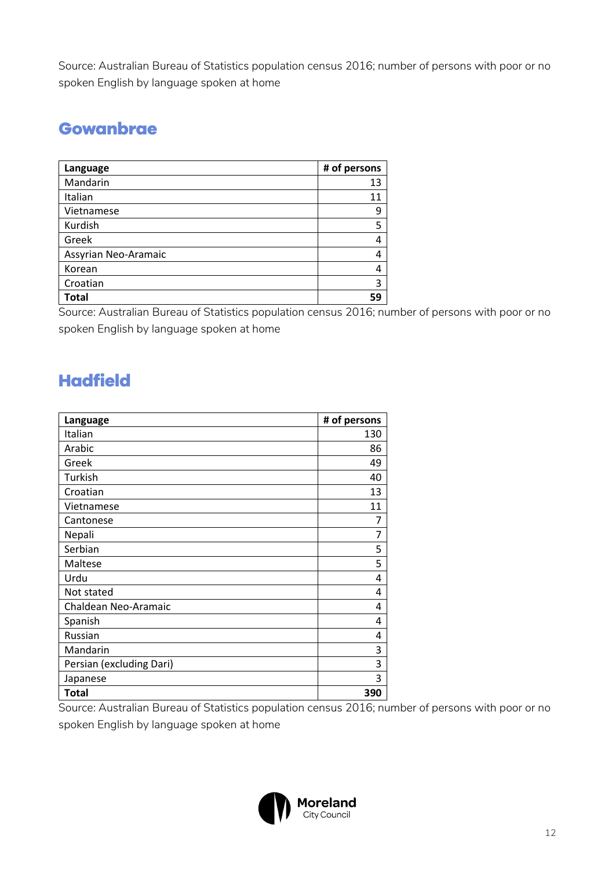Source: Australian Bureau of Statistics population census 2016; number of persons with poor or no spoken English by language spoken at home

#### **Gowanbrae**

| Language             | # of persons |
|----------------------|--------------|
| Mandarin             | 13           |
| Italian              | 11           |
| Vietnamese           | 9            |
| Kurdish              | 5            |
| Greek                | 4            |
| Assyrian Neo-Aramaic | 4            |
| Korean               | 4            |
| Croatian             | 3            |
| <b>Total</b>         | 59           |

Source: Australian Bureau of Statistics population census 2016; number of persons with poor or no spoken English by language spoken at home

# **Hadfield**

| Language                 | # of persons |
|--------------------------|--------------|
| Italian                  | 130          |
| Arabic                   | 86           |
| Greek                    | 49           |
| Turkish                  | 40           |
| Croatian                 | 13           |
| Vietnamese               | 11           |
| Cantonese                | 7            |
| Nepali                   | 7            |
| Serbian                  | 5            |
| Maltese                  | 5            |
| Urdu                     | 4            |
| Not stated               | 4            |
| Chaldean Neo-Aramaic     | 4            |
| Spanish                  | 4            |
| Russian                  | 4            |
| Mandarin                 | 3            |
| Persian (excluding Dari) | 3            |
| Japanese                 | 3            |
| <b>Total</b>             | 390          |

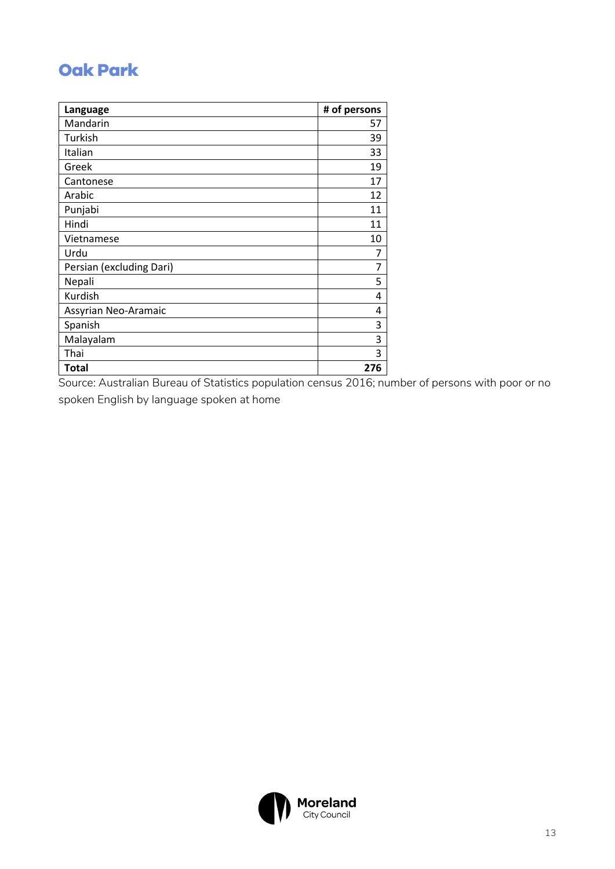## **Oak Park**

| Language                 | # of persons |
|--------------------------|--------------|
| Mandarin                 | 57           |
| Turkish                  | 39           |
| Italian                  | 33           |
| Greek                    | 19           |
| Cantonese                | 17           |
| Arabic                   | 12           |
| Punjabi                  | 11           |
| Hindi                    | 11           |
| Vietnamese               | 10           |
| Urdu                     | 7            |
| Persian (excluding Dari) | 7            |
| Nepali                   | 5            |
| Kurdish                  | 4            |
| Assyrian Neo-Aramaic     | 4            |
| Spanish                  | 3            |
| Malayalam                | 3            |
| Thai                     | 3            |
| <b>Total</b>             | 276          |

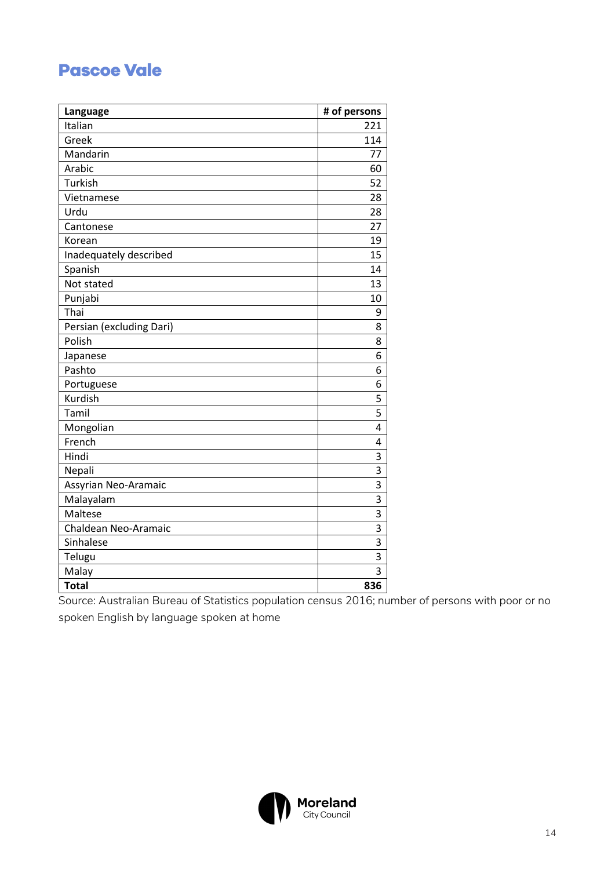#### **Pascoe Vale**

| Language                 | # of persons   |
|--------------------------|----------------|
| Italian                  | 221            |
| Greek                    | 114            |
| Mandarin                 | 77             |
| Arabic                   | 60             |
| Turkish                  | 52             |
| Vietnamese               | 28             |
| Urdu                     | 28             |
| Cantonese                | 27             |
| Korean                   | 19             |
| Inadequately described   | 15             |
| Spanish                  | 14             |
| Not stated               | 13             |
| Punjabi                  | 10             |
| Thai                     | 9              |
| Persian (excluding Dari) | 8              |
| Polish                   | 8              |
| Japanese                 | 6              |
| Pashto                   | 6              |
| Portuguese               | 6              |
| Kurdish                  | 5              |
| Tamil                    | 5              |
| Mongolian                | 4              |
| French                   | 4              |
| Hindi                    | $\overline{3}$ |
| Nepali                   | 3              |
| Assyrian Neo-Aramaic     | 3              |
| Malayalam                | 3              |
| Maltese                  | 3              |
| Chaldean Neo-Aramaic     | 3              |
| Sinhalese                | 3              |
| Telugu                   | 3              |
| Malay                    | $\overline{3}$ |
| <b>Total</b>             | 836            |